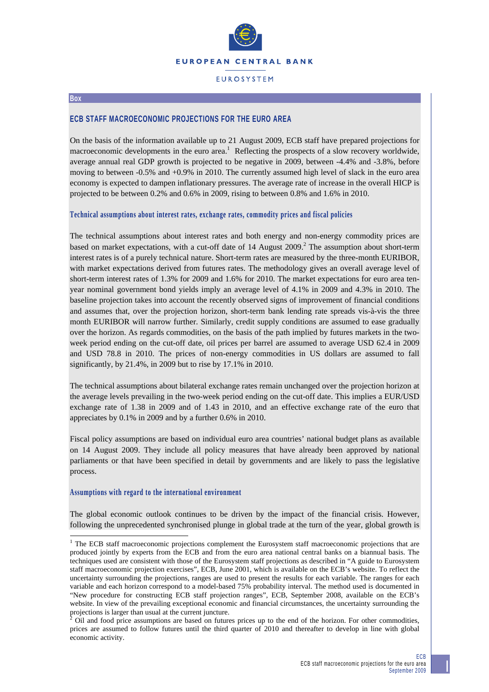

### **EUROSYSTEM**

#### **Box**

### **ECB STAFF MACROECONOMIC PROJECTIONS FOR THE EURO AREA**

On the basis of the information available up to 21 August 2009, ECB staff have prepared projections for macroeconomic developments in the euro area.<sup>1</sup> Reflecting the prospects of a slow recovery worldwide, average annual real GDP growth is projected to be negative in 2009, between -4.4% and -3.8%, before moving to between -0.5% and +0.9% in 2010. The currently assumed high level of slack in the euro area economy is expected to dampen inflationary pressures. The average rate of increase in the overall HICP is projected to be between 0.2% and 0.6% in 2009, rising to between 0.8% and 1.6% in 2010.

### **Technical assumptions about interest rates, exchange rates, commodity prices and fiscal policies**

The technical assumptions about interest rates and both energy and non-energy commodity prices are based on market expectations, with a cut-off date of 14 August  $2009$ .<sup>2</sup> The assumption about short-term interest rates is of a purely technical nature. Short-term rates are measured by the three-month EURIBOR, with market expectations derived from futures rates. The methodology gives an overall average level of short-term interest rates of 1.3% for 2009 and 1.6% for 2010. The market expectations for euro area tenyear nominal government bond yields imply an average level of 4.1% in 2009 and 4.3% in 2010. The baseline projection takes into account the recently observed signs of improvement of financial conditions and assumes that, over the projection horizon, short-term bank lending rate spreads vis-à-vis the three month EURIBOR will narrow further. Similarly, credit supply conditions are assumed to ease gradually over the horizon. As regards commodities, on the basis of the path implied by futures markets in the twoweek period ending on the cut-off date, oil prices per barrel are assumed to average USD 62.4 in 2009 and USD 78.8 in 2010. The prices of non-energy commodities in US dollars are assumed to fall significantly, by 21.4%, in 2009 but to rise by 17.1% in 2010.

The technical assumptions about bilateral exchange rates remain unchanged over the projection horizon at the average levels prevailing in the two-week period ending on the cut-off date. This implies a EUR/USD exchange rate of 1.38 in 2009 and of 1.43 in 2010, and an effective exchange rate of the euro that appreciates by 0.1% in 2009 and by a further 0.6% in 2010.

Fiscal policy assumptions are based on individual euro area countries' national budget plans as available on 14 August 2009. They include all policy measures that have already been approved by national parliaments or that have been specified in detail by governments and are likely to pass the legislative process.

### **Assumptions with regard to the international environment**

The global economic outlook continues to be driven by the impact of the financial crisis. However, following the unprecedented synchronised plunge in global trade at the turn of the year, global growth is

<sup>&</sup>lt;sup>1</sup> The ECB staff macroeconomic projections complement the Eurosystem staff macroeconomic projections that are produced jointly by experts from the ECB and from the euro area national central banks on a biannual basis. The techniques used are consistent with those of the Eurosystem staff projections as described in "A guide to Eurosystem staff macroeconomic projection exercises", ECB, June 2001, which is available on the ECB's website. To reflect the uncertainty surrounding the projections, ranges are used to present the results for each variable. The ranges for each variable and each horizon correspond to a model-based 75% probability interval. The method used is documented in "New procedure for constructing ECB staff projection ranges", ECB, September 2008, available on the ECB's website. In view of the prevailing exceptional economic and financial circumstances, the uncertainty surrounding the projections is larger than usual at the current juncture.<br><sup>2</sup> Oil and food price assumptions are based on futures prices up to the end of the horizon. For other commodities,

prices are assumed to follow futures until the third quarter of 2010 and thereafter to develop in line with global economic activity.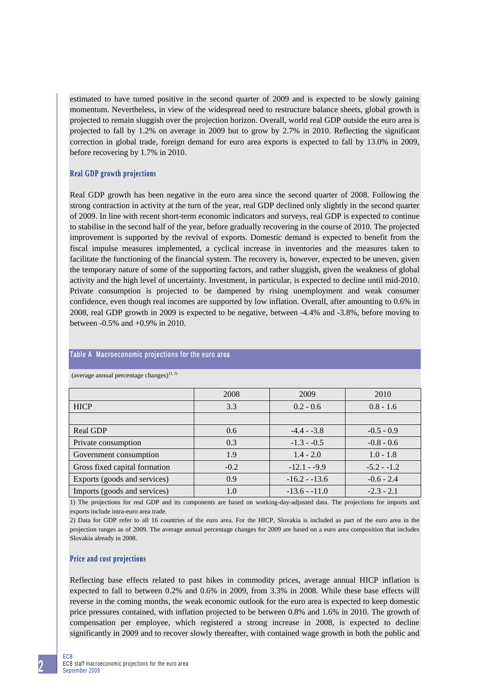estimated to have turned positive in the second quarter of 2009 and is expected to be slowly gaining momentum. Nevertheless, in view of the widespread need to restructure balance sheets, global growth is projected to remain sluggish over the projection horizon. Overall, world real GDP outside the euro area is projected to fall by 1.2% on average in 2009 but to grow by 2.7% in 2010. Reflecting the significant correction in global trade, foreign demand for euro area exports is expected to fall by 13.0% in 2009, before recovering by 1.7% in 2010.

### **Real GDP growth projections**

Real GDP growth has been negative in the euro area since the second quarter of 2008. Following the strong contraction in activity at the turn of the year, real GDP declined only slightly in the second quarter of 2009. In line with recent short-term economic indicators and surveys, real GDP is expected to continue to stabilise in the second half of the year, before gradually recovering in the course of 2010. The projected improvement is supported by the revival of exports. Domestic demand is expected to benefit from the fiscal impulse measures implemented, a cyclical increase in inventories and the measures taken to facilitate the functioning of the financial system. The recovery is, however, expected to be uneven, given the temporary nature of some of the supporting factors, and rather sluggish, given the weakness of global activity and the high level of uncertainty. Investment, in particular, is expected to decline until mid-2010. Private consumption is projected to be dampened by rising unemployment and weak consumer confidence, even though real incomes are supported by low inflation. Overall, after amounting to 0.6% in 2008, real GDP growth in 2009 is expected to be negative, between -4.4% and -3.8%, before moving to between -0.5% and +0.9% in 2010.

# 2008 2009 2010 HICP  $3.3 \t\t 0.2 - 0.6 \t\t 0.8 - 1.6$ Real GDP  $0.6$   $-4.4$  - -3.8  $-0.5$  - 0.9 Private consumption  $0.3$   $1.3 - 0.5$   $-0.8 - 0.6$ Government consumption 1.9 1.4 - 2.0 1.0 - 1.8 Gross fixed capital formation  $-0.2$   $-12.1 - 9.9$   $-5.2 - 1.2$ Exports (goods and services)  $0.9$   $-16.2 - 13.6$   $-0.6 - 2.4$ Imports (goods and services)  $1.0$   $-13.6 - 11.0$   $-2.3 - 2.1$

## **Table A Macroeconomic projections for the euro area**

(average annual percentage changes)<sup>1), 2)</sup>

1) The projections for real GDP and its components are based on working-day-adjusted data. The projections for imports and exports include intra-euro area trade.

2) Data for GDP refer to all 16 countries of the euro area. For the HICP, Slovakia is included as part of the euro area in the projection ranges as of 2009. The average annual percentage changes for 2009 are based on a euro area composition that includes Slovakia already in 2008.

### **Price and cost projections**

Reflecting base effects related to past hikes in commodity prices, average annual HICP inflation is expected to fall to between 0.2% and 0.6% in 2009, from 3.3% in 2008. While these base effects will reverse in the coming months, the weak economic outlook for the euro area is expected to keep domestic price pressures contained, with inflation projected to be between 0.8% and 1.6% in 2010. The growth of compensation per employee, which registered a strong increase in 2008, is expected to decline significantly in 2009 and to recover slowly thereafter, with contained wage growth in both the public and